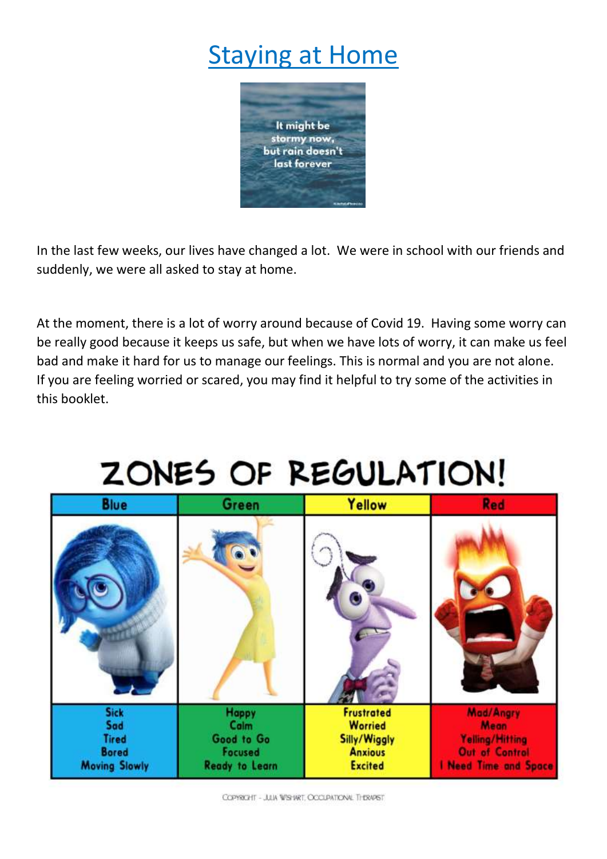# **Staying at Home**



In the last few weeks, our lives have changed a lot. We were in school with our friends and suddenly, we were all asked to stay at home.

At the moment, there is a lot of worry around because of Covid 19. Having some worry can be really good because it keeps us safe, but when we have lots of worry, it can make us feel bad and make it hard for us to manage our feelings. This is normal and you are not alone. If you are feeling worried or scared, you may find it helpful to try some of the activities in this booklet.

# ZONES OF REGULATION!

| <b>Blue</b>                                                                | <b>Green</b>                                                           | Yellow                                                                                  | Red                                                                                    |
|----------------------------------------------------------------------------|------------------------------------------------------------------------|-----------------------------------------------------------------------------------------|----------------------------------------------------------------------------------------|
|                                                                            |                                                                        |                                                                                         |                                                                                        |
| <b>Sick</b><br>Sad<br><b>Tired</b><br><b>Bored</b><br><b>Moving Slowly</b> | <b>Happy</b><br>Calm<br>Good to Go<br>Focused<br><b>Ready to Learn</b> | <b>Frustrated</b><br><b>Worried</b><br>Silly/Wiggly<br><b>Anxious</b><br><b>Excited</b> | Mad/Angry<br><b>Mean</b><br>Yelling/Hitting<br>Out of Control<br>I Need Time and Space |

COPYRIOHT - JULA WISHART OCCUPATIONAL THERAPIST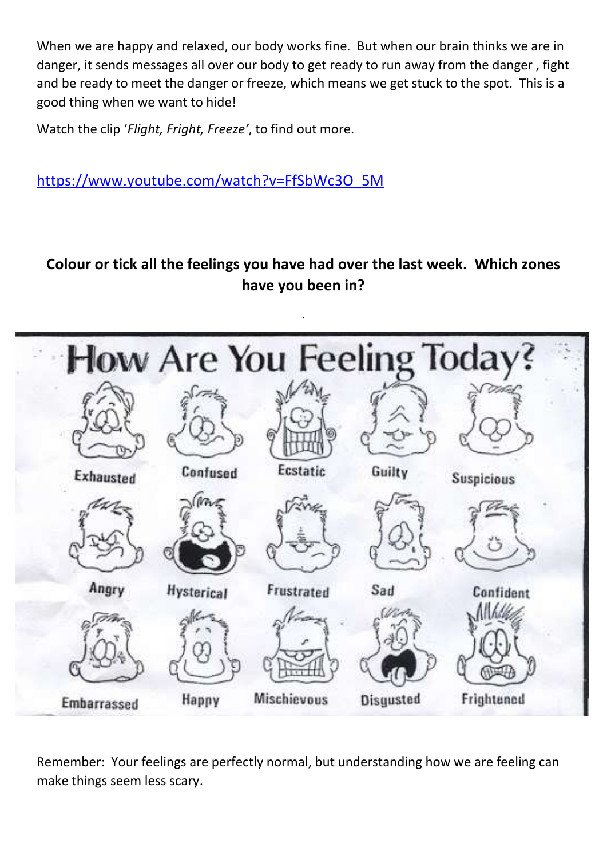When we are happy and relaxed, our body works fine. But when our brain thinks we are in danger, it sends messages all over our body to get ready to run away from the danger , fight and be ready to meet the danger or freeze, which means we get stuck to the spot. This is a good thing when we want to hide!

Watch the clip '*Flight, Fright, Freeze'*, to find out more.

[https://www.youtube.com/watch?v=FfSbWc3O\\_5M](https://www.youtube.com/watch?v=FfSbWc3O_5M)

# **Colour or tick all the feelings you have had over the last week. Which zones have you been in?**



Remember: Your feelings are perfectly normal, but understanding how we are feeling can make things seem less scary.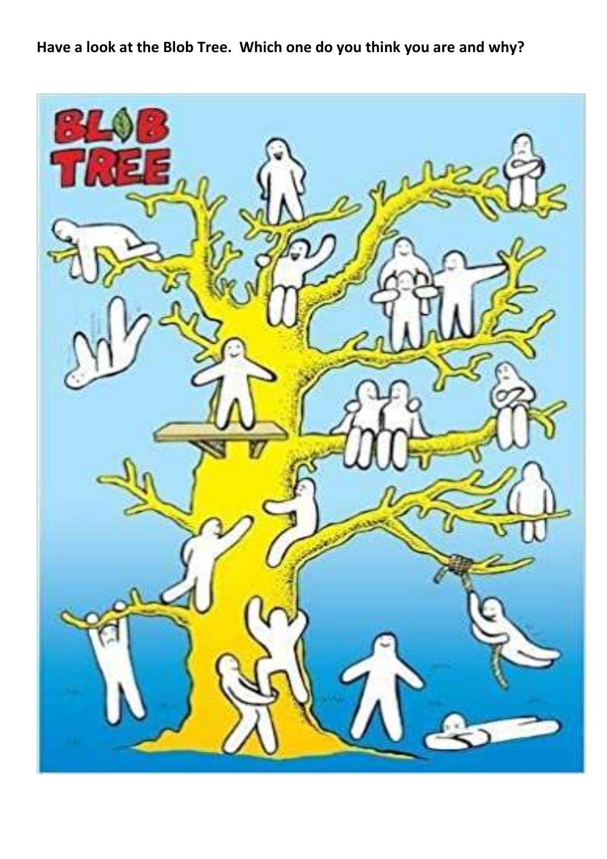**Have a look at the Blob Tree. Which one do you think you are and why?**

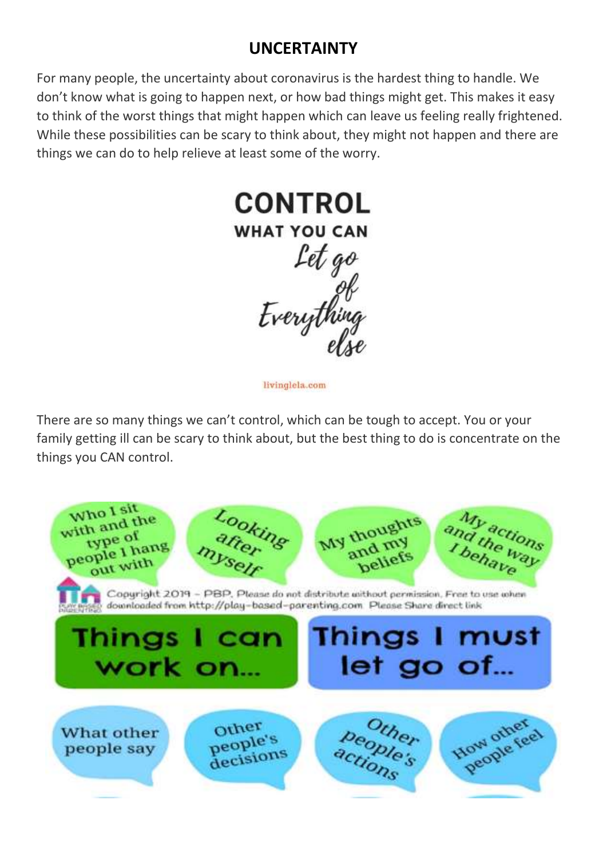# **UNCERTAINTY**

For many people, the uncertainty about coronavirus is the hardest thing to handle. We don't know what is going to happen next, or how bad things might get. This makes it easy to think of the worst things that might happen which can leave us feeling really frightened. While these possibilities can be scary to think about, they might not happen and there are things we can do to help relieve at least some of the worry.



livinglela.com

There are so many things we can't control, which can be tough to accept. You or your family getting ill can be scary to think about, but the best thing to do is concentrate on the things you CAN control.

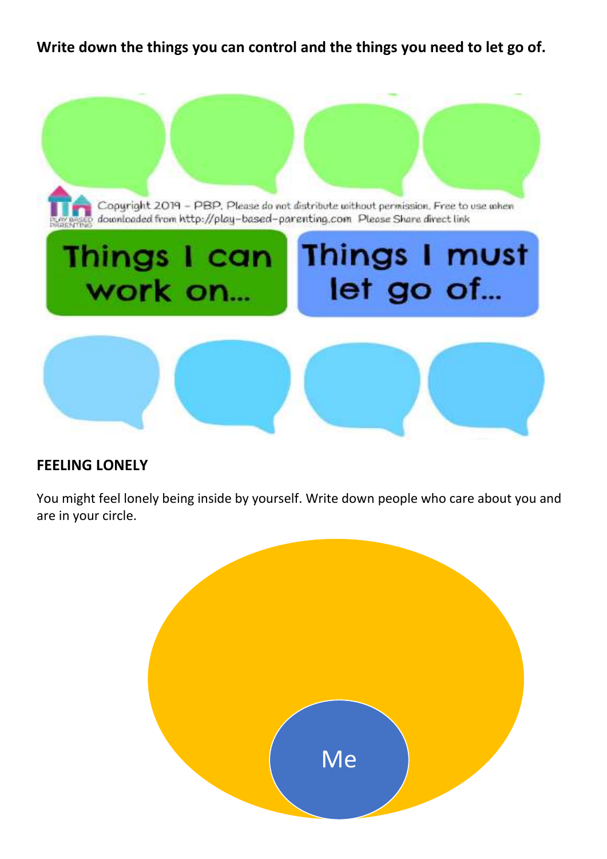**Write down the things you can control and the things you need to let go of.**



#### **FEELING LONELY**

You might feel lonely being inside by yourself. Write down people who care about you and are in your circle.

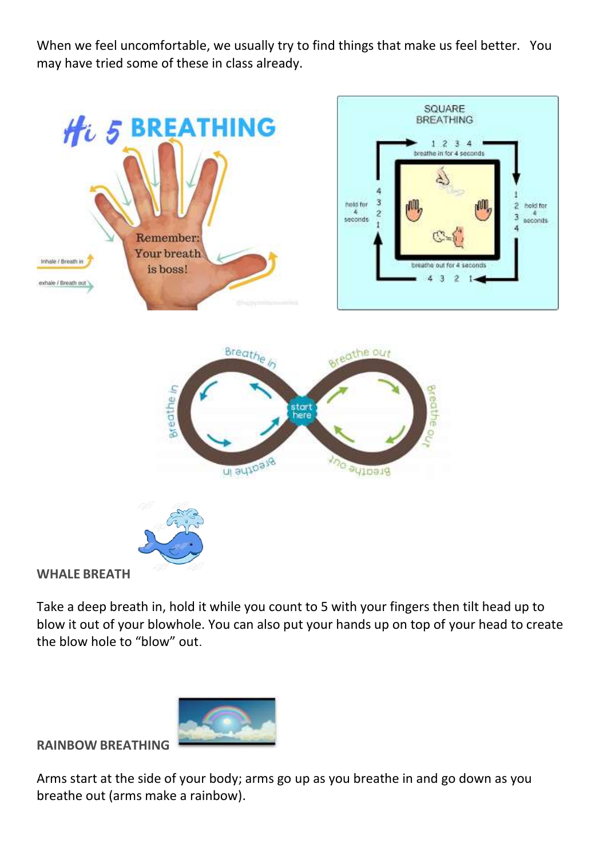When we feel uncomfortable, we usually try to find things that make us feel better. You may have tried some of these in class already.



#### **WHALE BREATH**

Take a deep breath in, hold it while you count to 5 with your fingers then tilt head up to blow it out of your blowhole. You can also put your hands up on top of your head to create the blow hole to "blow" out.



**RAINBOW BREATHING** 

Arms start at the side of your body; arms go up as you breathe in and go down as you breathe out (arms make a rainbow).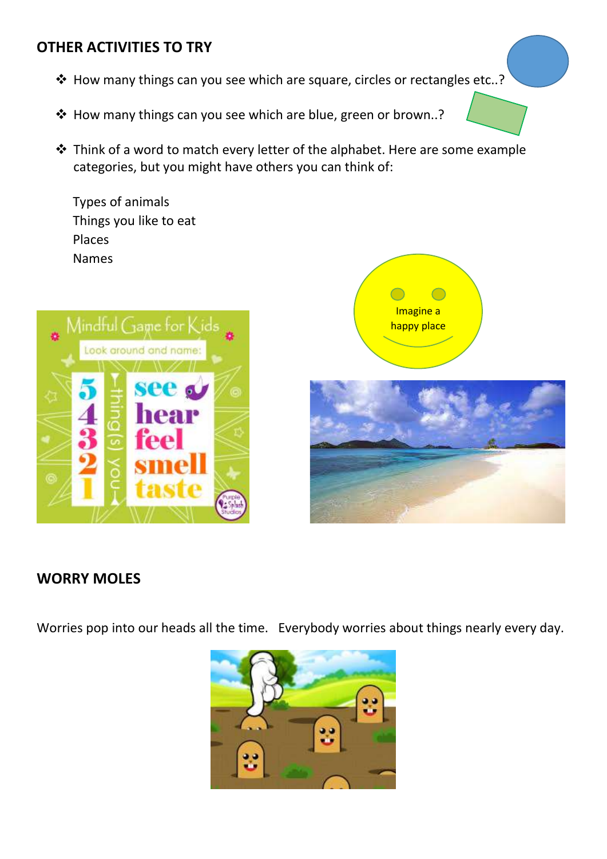## **OTHER ACTIVITIES TO TRY**

- ❖ How many things can you see which are square, circles or rectangles etc..?
- ❖ How many things can you see which are blue, green or brown..?
- ❖ Think of a word to match every letter of the alphabet. Here are some example categories, but you might have others you can think of:

Types of animals Things you like to eat Places Names





## **WORRY MOLES**

Worries pop into our heads all the time. Everybody worries about things nearly every day.

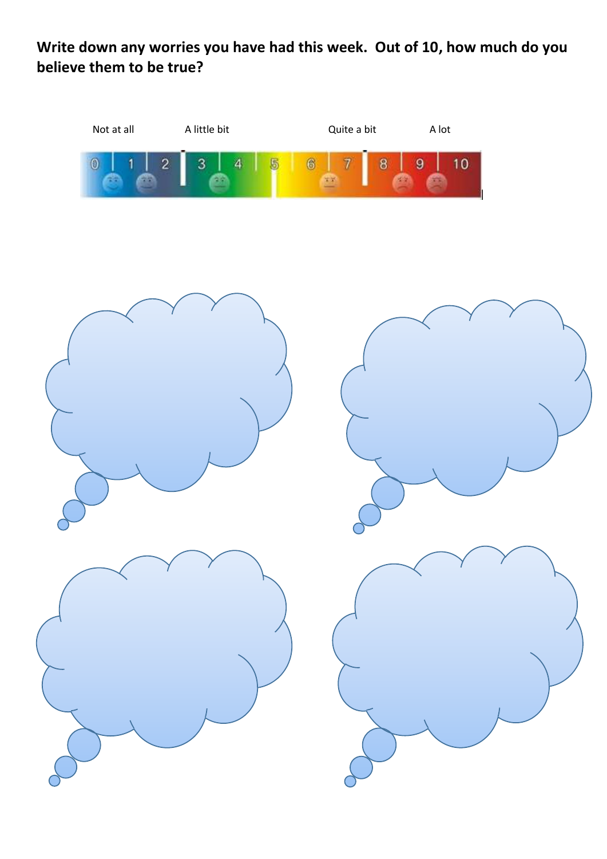# **Write down any worries you have had this week. Out of 10, how much do you believe them to be true?**

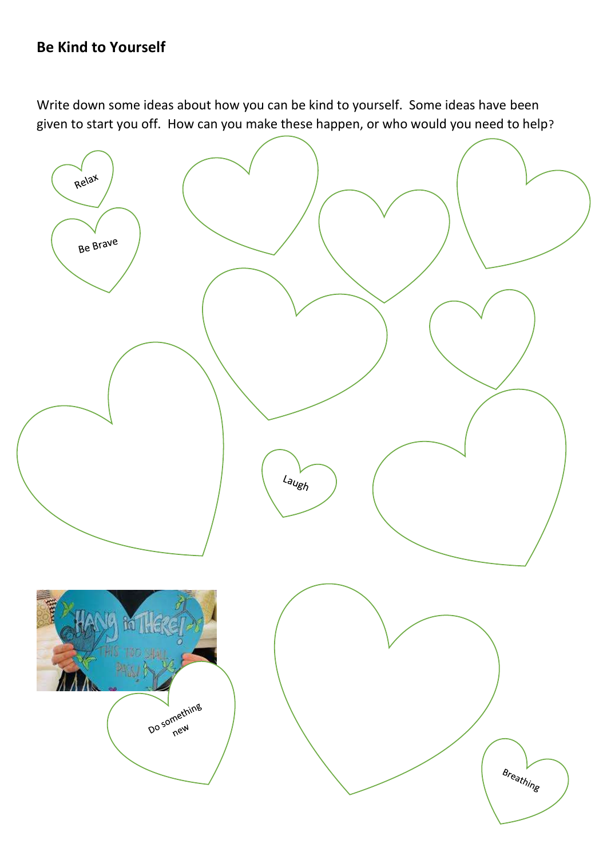### **Be Kind to Yourself**

Write down some ideas about how you can be kind to yourself. Some ideas have been given to start you off. How can you make these happen, or who would you need to help?

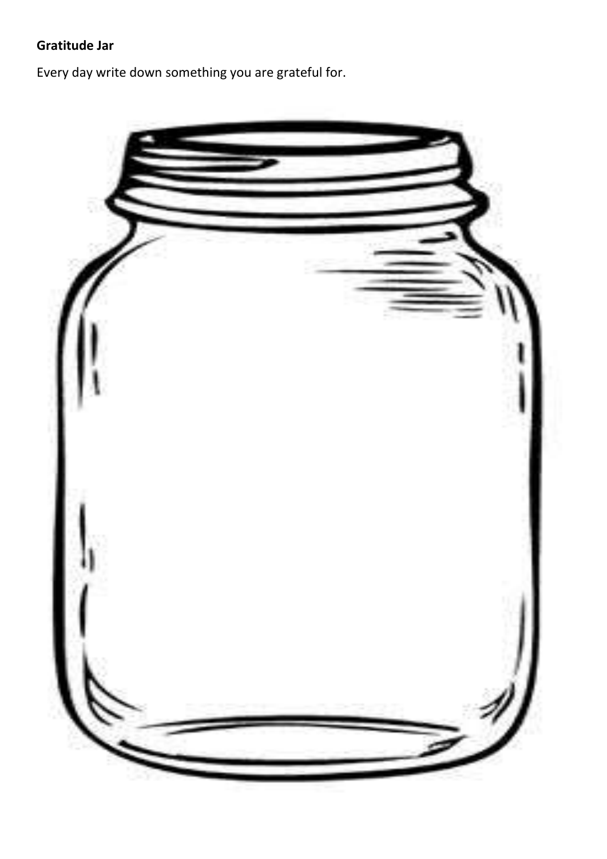# **Gratitude Jar**

Every day write down something you are grateful for.

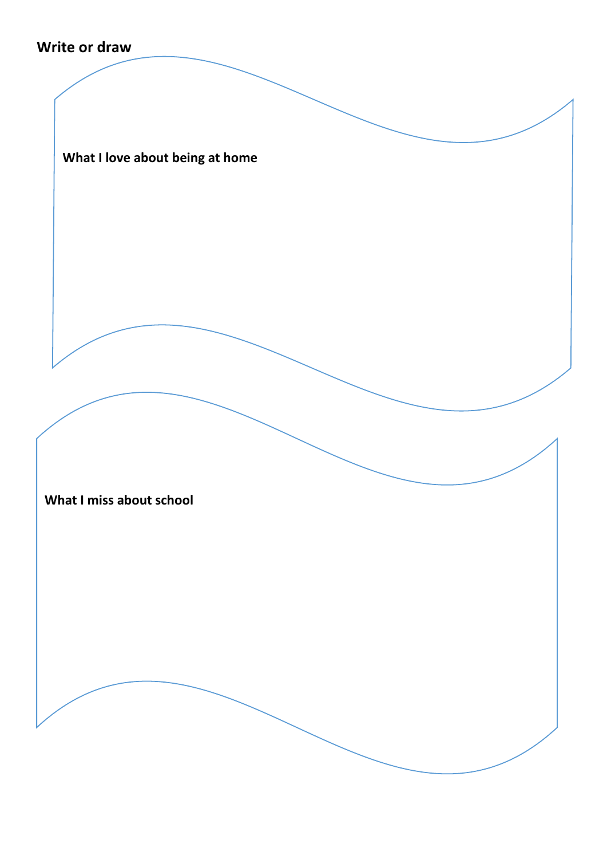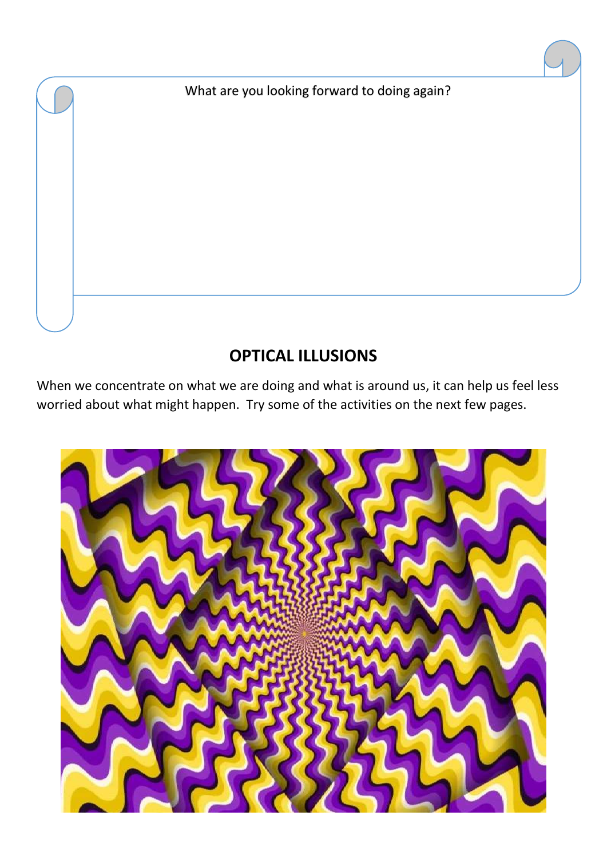What are you looking forward to doing again?

# **OPTICAL ILLUSIONS**

When we concentrate on what we are doing and what is around us, it can help us feel less worried about what might happen. Try some of the activities on the next few pages.

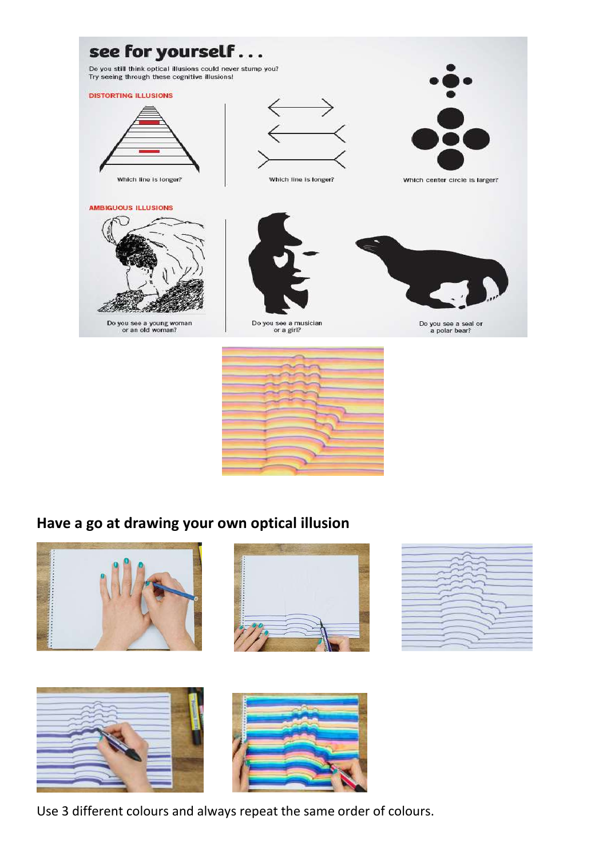

# **Have a go at drawing your own optical illusion**











Use 3 different colours and always repeat the same order of colours.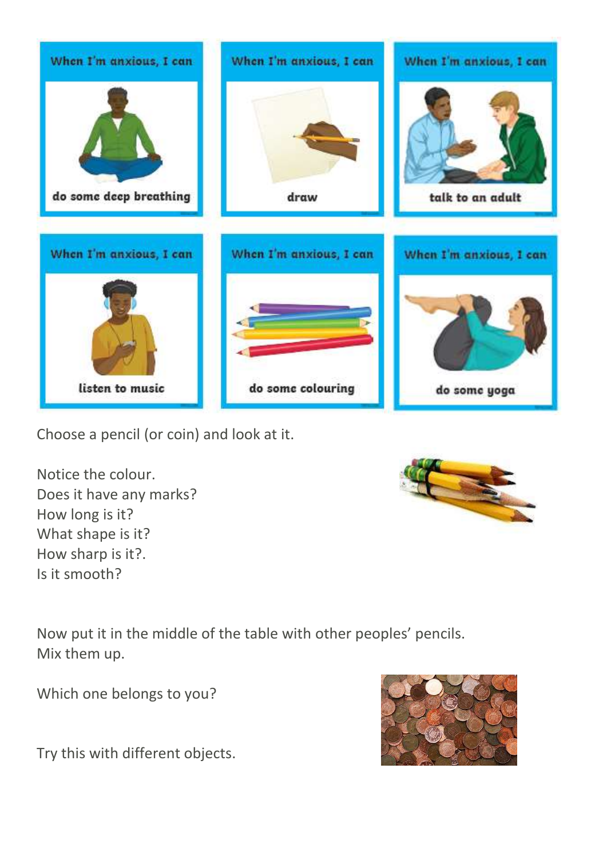

Choose a pencil (or coin) and look at it.

Notice the colour. Does it have any marks? How long is it? What shape is it? How sharp is it?. Is it smooth?



Now put it in the middle of the table with other peoples' pencils. Mix them up.

Which one belongs to you?

Try this with different objects.

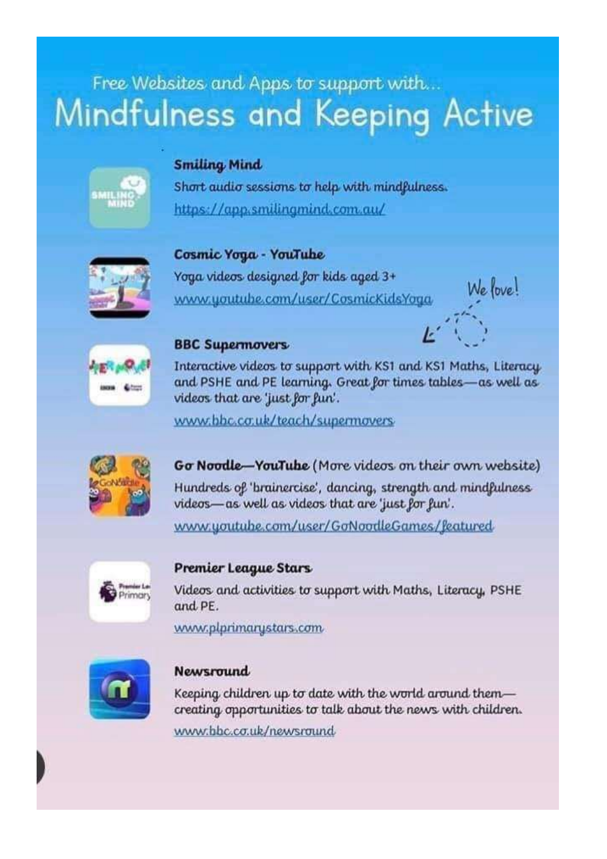# Free Websites and Apps to support with... Mindfulness and Keeping Active

#### **Smiling Mind**

Short audio sessions to help with mindfulness. https://app.smilingmind.com.au/



#### Cosmic Yoga - YouTube

Yoga videos designed for kids aged 3+ www.youtube.com/user/CosmicKidsYoga





#### **BBC Supermovers**

Interactive videos to support with KS1 and KS1 Maths, Literacy and PSHE and PE learning. Great for times tables-as well as videos that are 'just for fun'.

www.bbc.co.uk/teach/supermovers



Go Noodle-YouTube (More videos on their own website)

Hundreds of 'brainercise', dancing, strength and mindfulness videos—as well as videos that are 'just for fun'.

www.youtube.com/user/GoNoodleGames/featured



#### Premier League Stars

Videos and activities to support with Maths, Literacy, PSHE and PE.

www.plprimarystars.com



#### **Newsround**

Keeping children up to date with the world around themcreating opportunities to talk about the news with children. www.bbc.co.uk/newsround